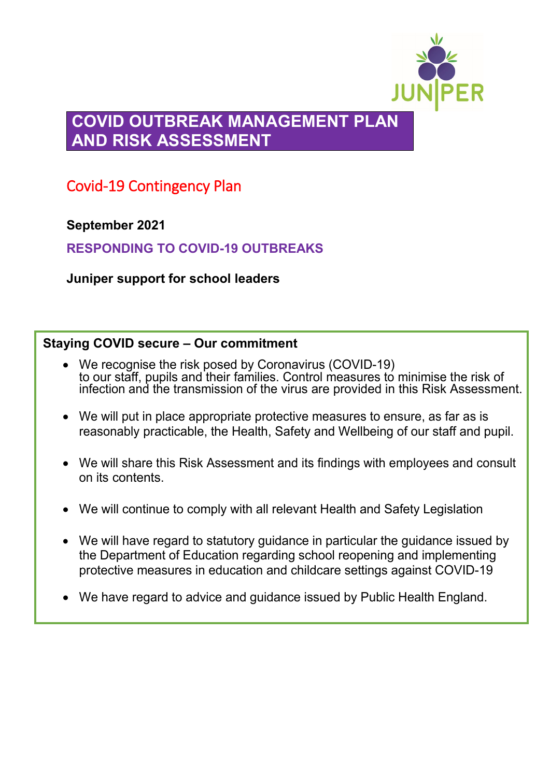

# **COVID OUTBREAK MANAGEMENT PLAN AND RISK ASSESSMENT**

### Covid-19 Contingency Plan

**September 2021**

**RESPONDING TO COVID-19 OUTBREAKS**

**Juniper support for school leaders** 

### **Staying COVID secure – Our commitment**

- We recognise the risk posed by Coronavirus (COVID-19) to our staff, pupils and their families. Control measures to minimise the risk of infection and the transmission of the virus are provided in this Risk Assessment.
- We will put in place appropriate protective measures to ensure, as far as is reasonably practicable, the Health, Safety and Wellbeing of our staff and pupil.
- We will share this Risk Assessment and its findings with employees and consult on its contents.
- We will continue to comply with all relevant Health and Safety Legislation
- We will have regard to statutory guidance in particular the guidance issued by the Department of Education regarding school reopening and implementing protective measures in education and childcare settings against COVID-19
- We have regard to advice and guidance issued by Public Health England.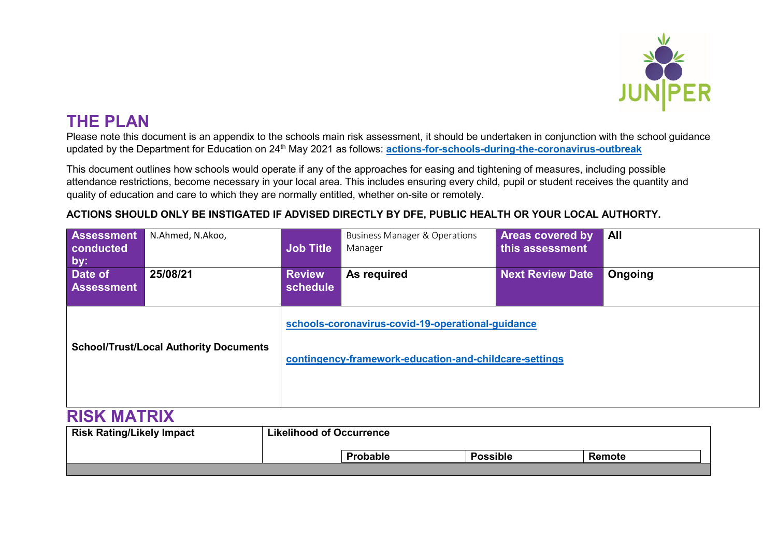

# **THE PLAN**

Please note this document is an appendix to the schools main risk assessment, it should be undertaken in conjunction with the school guidance updated by the Department for Education on 24th May 2021 as follows: **[actions-for-schools-during-the-coronavirus-outbreak](https://www.gov.uk/government/publications/actions-for-schools-during-the-coronavirus-outbreak)**

This document outlines how schools would operate if any of the approaches for easing and tightening of measures, including possible attendance restrictions, become necessary in your local area. This includes ensuring every child, pupil or student receives the quantity and quality of education and care to which they are normally entitled, whether on-site or remotely.

#### **ACTIONS SHOULD ONLY BE INSTIGATED IF ADVISED DIRECTLY BY DFE, PUBLIC HEALTH OR YOUR LOCAL AUTHORTY.**

| Assessment                                    | N.Ahmed, N.Akoo, |                                 | <b>Business Manager &amp; Operations</b>                                                                    | <b>Areas covered by</b> | All     |  |
|-----------------------------------------------|------------------|---------------------------------|-------------------------------------------------------------------------------------------------------------|-------------------------|---------|--|
| conducted                                     |                  |                                 | Manager                                                                                                     | this assessment         |         |  |
| by:                                           |                  |                                 |                                                                                                             |                         |         |  |
| Date of                                       | 25/08/21         | <b>Review</b>                   | As required                                                                                                 | <b>Next Review Date</b> | Ongoing |  |
| <b>Assessment</b>                             |                  | schedule                        |                                                                                                             |                         |         |  |
|                                               |                  |                                 |                                                                                                             |                         |         |  |
| <b>School/Trust/Local Authority Documents</b> |                  |                                 | schools-coronavirus-covid-19-operational-guidance<br>contingency-framework-education-and-childcare-settings |                         |         |  |
| <b>RISK MATRIX</b>                            |                  |                                 |                                                                                                             |                         |         |  |
| <b>Risk Rating/Likely Impact</b>              |                  | <b>Likelihood of Occurrence</b> |                                                                                                             |                         |         |  |

**Probable Possible Remote**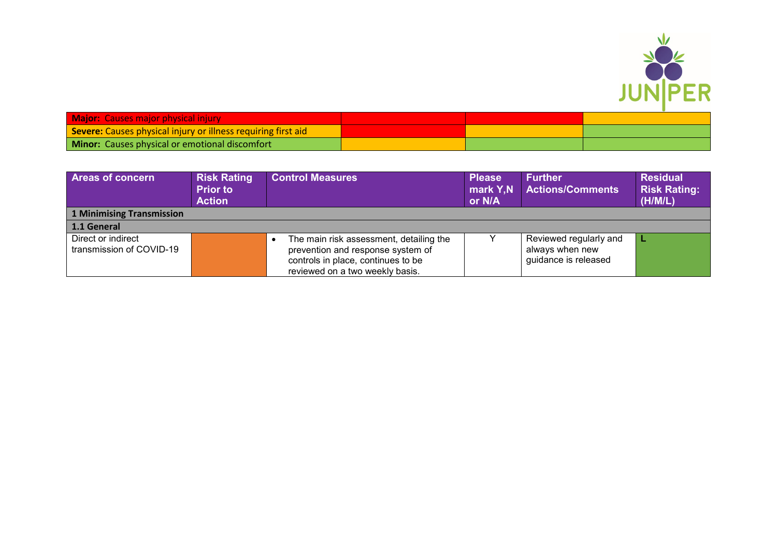

| <b>Major:</b> Causes major physical injury                           |  |  |
|----------------------------------------------------------------------|--|--|
| <b>Severe:</b> Causes physical injury or illness requiring first aid |  |  |
| <b>Minor:</b> Causes physical or emotional discomfort                |  |  |

| Areas of concern                               | <b>Risk Rating</b><br><b>Prior to</b><br><b>Action</b> | <b>Control Measures</b>                                                                                                                               | <b>Please</b><br>or N/A | <b>Further</b><br>mark Y,N Actions/Comments                       | <b>Residual</b><br><b>Risk Rating:</b><br>(H/M/L) |
|------------------------------------------------|--------------------------------------------------------|-------------------------------------------------------------------------------------------------------------------------------------------------------|-------------------------|-------------------------------------------------------------------|---------------------------------------------------|
| 1 Minimising Transmission                      |                                                        |                                                                                                                                                       |                         |                                                                   |                                                   |
| 1.1 General                                    |                                                        |                                                                                                                                                       |                         |                                                                   |                                                   |
| Direct or indirect<br>transmission of COVID-19 |                                                        | The main risk assessment, detailing the<br>prevention and response system of<br>controls in place, continues to be<br>reviewed on a two weekly basis. |                         | Reviewed regularly and<br>always when new<br>guidance is released |                                                   |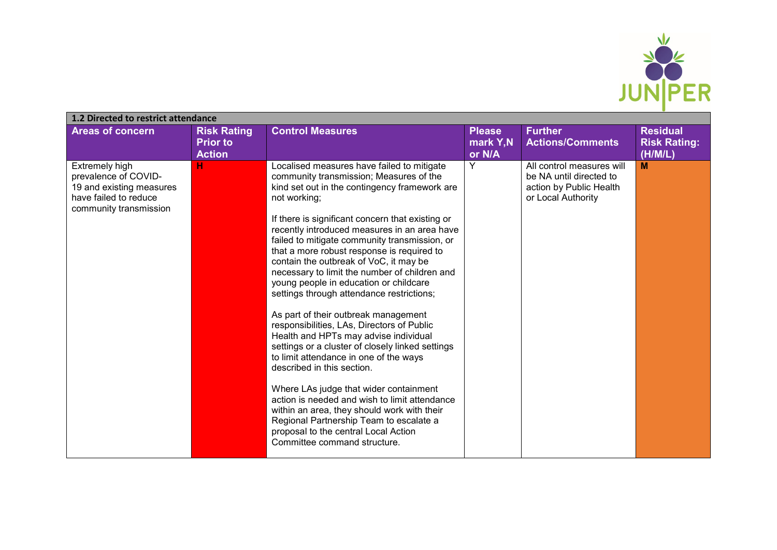

| 1.2 Directed to restrict attendance                                                                                   |                                                        |                                                                                                                                                                                                                                                                                                                                                                                                                                                                                                                                                                                                                                                                                                                                                                                                                                                                                                                                                                                                                                                                     |                                     |                                                                                                       |                                                   |  |
|-----------------------------------------------------------------------------------------------------------------------|--------------------------------------------------------|---------------------------------------------------------------------------------------------------------------------------------------------------------------------------------------------------------------------------------------------------------------------------------------------------------------------------------------------------------------------------------------------------------------------------------------------------------------------------------------------------------------------------------------------------------------------------------------------------------------------------------------------------------------------------------------------------------------------------------------------------------------------------------------------------------------------------------------------------------------------------------------------------------------------------------------------------------------------------------------------------------------------------------------------------------------------|-------------------------------------|-------------------------------------------------------------------------------------------------------|---------------------------------------------------|--|
| <b>Areas of concern</b>                                                                                               | <b>Risk Rating</b><br><b>Prior to</b><br><b>Action</b> | <b>Control Measures</b>                                                                                                                                                                                                                                                                                                                                                                                                                                                                                                                                                                                                                                                                                                                                                                                                                                                                                                                                                                                                                                             | <b>Please</b><br>mark Y,N<br>or N/A | <b>Further</b><br><b>Actions/Comments</b>                                                             | <b>Residual</b><br><b>Risk Rating:</b><br>(H/M/L) |  |
| Extremely high<br>prevalence of COVID-<br>19 and existing measures<br>have failed to reduce<br>community transmission | н                                                      | Localised measures have failed to mitigate<br>community transmission; Measures of the<br>kind set out in the contingency framework are<br>not working;<br>If there is significant concern that existing or<br>recently introduced measures in an area have<br>failed to mitigate community transmission, or<br>that a more robust response is required to<br>contain the outbreak of VoC, it may be<br>necessary to limit the number of children and<br>young people in education or childcare<br>settings through attendance restrictions;<br>As part of their outbreak management<br>responsibilities, LAs, Directors of Public<br>Health and HPTs may advise individual<br>settings or a cluster of closely linked settings<br>to limit attendance in one of the ways<br>described in this section.<br>Where LAs judge that wider containment<br>action is needed and wish to limit attendance<br>within an area, they should work with their<br>Regional Partnership Team to escalate a<br>proposal to the central Local Action<br>Committee command structure. | Y                                   | All control measures will<br>be NA until directed to<br>action by Public Health<br>or Local Authority | M                                                 |  |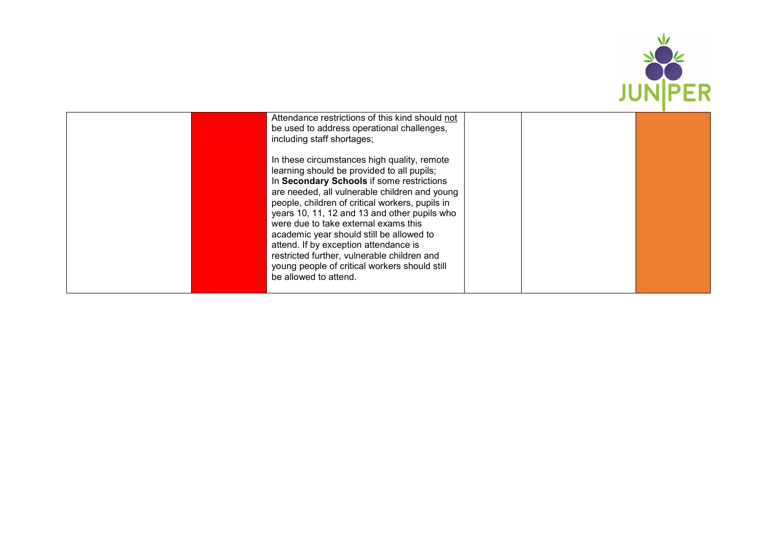

| Attendance restrictions of this kind should not<br>be used to address operational challenges,<br>including staff shortages;                                                                                                                                                                                                                                                                                                                                                                                                                      |  |
|--------------------------------------------------------------------------------------------------------------------------------------------------------------------------------------------------------------------------------------------------------------------------------------------------------------------------------------------------------------------------------------------------------------------------------------------------------------------------------------------------------------------------------------------------|--|
| In these circumstances high quality, remote<br>learning should be provided to all pupils;<br>In Secondary Schools if some restrictions<br>are needed, all vulnerable children and young<br>people, children of critical workers, pupils in<br>years 10, 11, 12 and 13 and other pupils who<br>were due to take external exams this<br>academic year should still be allowed to<br>attend. If by exception attendance is<br>restricted further, vulnerable children and<br>young people of critical workers should still<br>be allowed to attend. |  |
|                                                                                                                                                                                                                                                                                                                                                                                                                                                                                                                                                  |  |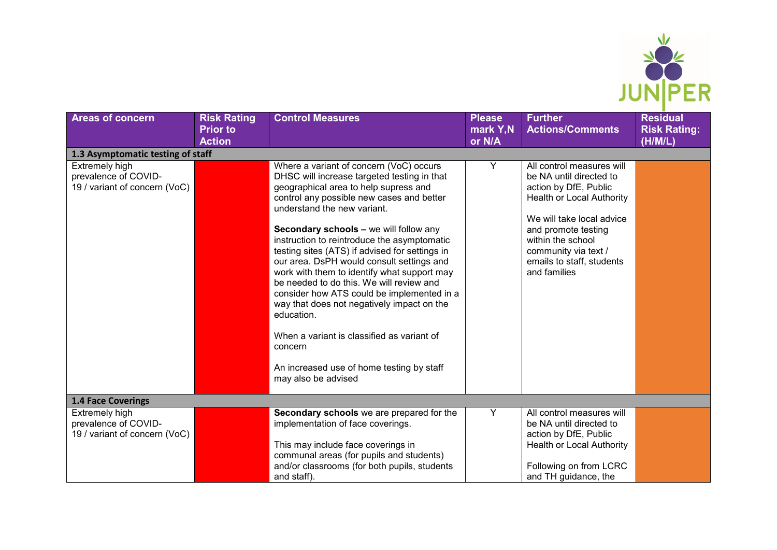

| <b>Areas of concern</b>                                                 | <b>Risk Rating</b><br><b>Prior to</b><br><b>Action</b> | <b>Control Measures</b>                                                                                                                                                                                                                                                                                                                                                                                                                                                                                                                                                                                                                                                                                                               | <b>Please</b><br>mark Y,N<br>or N/A | <b>Further</b><br><b>Actions/Comments</b>                                                                                                                                                                                                                       | <b>Residual</b><br><b>Risk Rating:</b><br>(H/M/L) |
|-------------------------------------------------------------------------|--------------------------------------------------------|---------------------------------------------------------------------------------------------------------------------------------------------------------------------------------------------------------------------------------------------------------------------------------------------------------------------------------------------------------------------------------------------------------------------------------------------------------------------------------------------------------------------------------------------------------------------------------------------------------------------------------------------------------------------------------------------------------------------------------------|-------------------------------------|-----------------------------------------------------------------------------------------------------------------------------------------------------------------------------------------------------------------------------------------------------------------|---------------------------------------------------|
| 1.3 Asymptomatic testing of staff                                       |                                                        |                                                                                                                                                                                                                                                                                                                                                                                                                                                                                                                                                                                                                                                                                                                                       |                                     |                                                                                                                                                                                                                                                                 |                                                   |
| Extremely high<br>prevalence of COVID-<br>19 / variant of concern (VoC) |                                                        | Where a variant of concern (VoC) occurs<br>DHSC will increase targeted testing in that<br>geographical area to help supress and<br>control any possible new cases and better<br>understand the new variant.<br>Secondary schools - we will follow any<br>instruction to reintroduce the asymptomatic<br>testing sites (ATS) if advised for settings in<br>our area. DsPH would consult settings and<br>work with them to identify what support may<br>be needed to do this. We will review and<br>consider how ATS could be implemented in a<br>way that does not negatively impact on the<br>education.<br>When a variant is classified as variant of<br>concern<br>An increased use of home testing by staff<br>may also be advised | Y                                   | All control measures will<br>be NA until directed to<br>action by DfE, Public<br><b>Health or Local Authority</b><br>We will take local advice<br>and promote testing<br>within the school<br>community via text /<br>emails to staff, students<br>and families |                                                   |
| <b>1.4 Face Coverings</b>                                               |                                                        |                                                                                                                                                                                                                                                                                                                                                                                                                                                                                                                                                                                                                                                                                                                                       |                                     |                                                                                                                                                                                                                                                                 |                                                   |
| Extremely high<br>prevalence of COVID-<br>19 / variant of concern (VoC) |                                                        | Secondary schools we are prepared for the<br>implementation of face coverings.<br>This may include face coverings in<br>communal areas (for pupils and students)<br>and/or classrooms (for both pupils, students                                                                                                                                                                                                                                                                                                                                                                                                                                                                                                                      | Y                                   | All control measures will<br>be NA until directed to<br>action by DfE, Public<br><b>Health or Local Authority</b>                                                                                                                                               |                                                   |
|                                                                         |                                                        | and staff).                                                                                                                                                                                                                                                                                                                                                                                                                                                                                                                                                                                                                                                                                                                           |                                     | Following on from LCRC<br>and TH guidance, the                                                                                                                                                                                                                  |                                                   |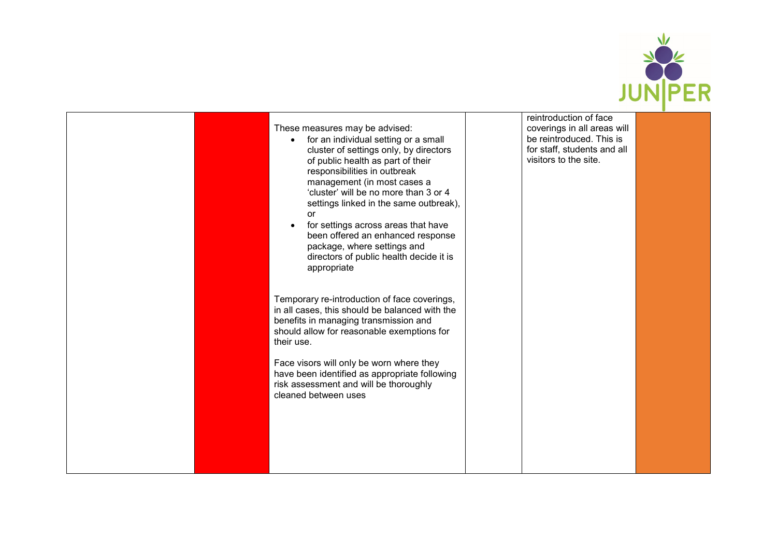

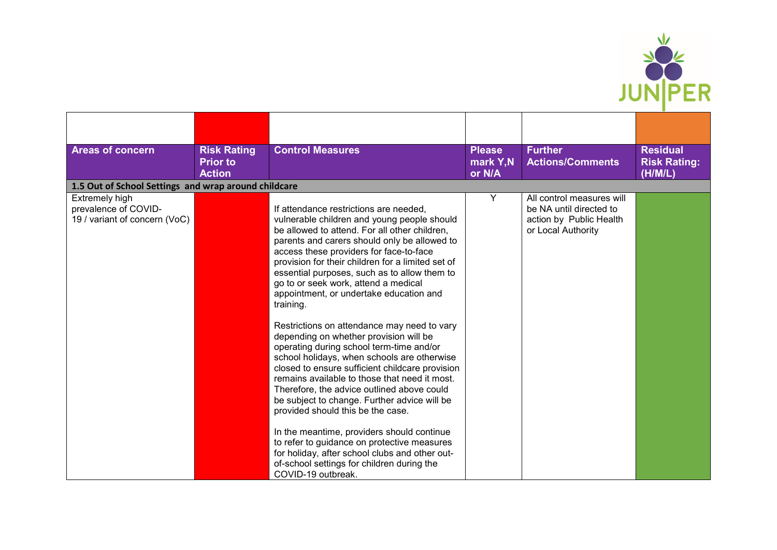

| <b>Areas of concern</b>                                                 | <b>Risk Rating</b><br><b>Prior to</b><br><b>Action</b> | <b>Control Measures</b>                                                                                                                                                                                                                                                                                                                                                                                                                                                                                                                                                                                                                                                                                                                                                                                                                                                                                                                                                                                                                                                              | <b>Please</b><br>mark Y,N<br>or N/A | <b>Further</b><br><b>Actions/Comments</b>                                                             | <b>Residual</b><br><b>Risk Rating:</b><br>(H/M/L) |
|-------------------------------------------------------------------------|--------------------------------------------------------|--------------------------------------------------------------------------------------------------------------------------------------------------------------------------------------------------------------------------------------------------------------------------------------------------------------------------------------------------------------------------------------------------------------------------------------------------------------------------------------------------------------------------------------------------------------------------------------------------------------------------------------------------------------------------------------------------------------------------------------------------------------------------------------------------------------------------------------------------------------------------------------------------------------------------------------------------------------------------------------------------------------------------------------------------------------------------------------|-------------------------------------|-------------------------------------------------------------------------------------------------------|---------------------------------------------------|
| 1.5 Out of School Settings and wrap around childcare                    |                                                        |                                                                                                                                                                                                                                                                                                                                                                                                                                                                                                                                                                                                                                                                                                                                                                                                                                                                                                                                                                                                                                                                                      |                                     |                                                                                                       |                                                   |
| Extremely high<br>prevalence of COVID-<br>19 / variant of concern (VoC) |                                                        | If attendance restrictions are needed,<br>vulnerable children and young people should<br>be allowed to attend. For all other children,<br>parents and carers should only be allowed to<br>access these providers for face-to-face<br>provision for their children for a limited set of<br>essential purposes, such as to allow them to<br>go to or seek work, attend a medical<br>appointment, or undertake education and<br>training.<br>Restrictions on attendance may need to vary<br>depending on whether provision will be<br>operating during school term-time and/or<br>school holidays, when schools are otherwise<br>closed to ensure sufficient childcare provision<br>remains available to those that need it most.<br>Therefore, the advice outlined above could<br>be subject to change. Further advice will be<br>provided should this be the case.<br>In the meantime, providers should continue<br>to refer to guidance on protective measures<br>for holiday, after school clubs and other out-<br>of-school settings for children during the<br>COVID-19 outbreak. | Y                                   | All control measures will<br>be NA until directed to<br>action by Public Health<br>or Local Authority |                                                   |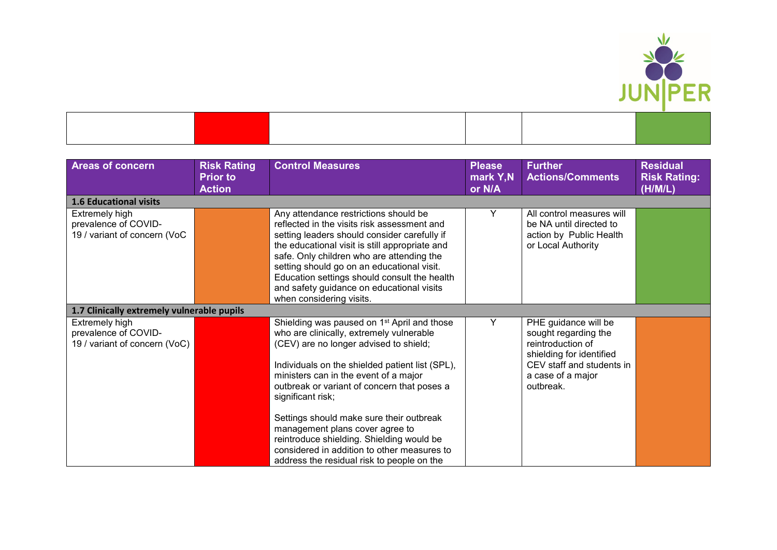

| <b>Areas of concern</b>                                                 | <b>Risk Rating</b><br><b>Prior to</b><br><b>Action</b> | <b>Control Measures</b>                                                                                                                                                                                                                                                                                                                                                                                    | <b>Please</b><br>mark Y,N<br>or N/A | <b>Further</b><br><b>Actions/Comments</b>                                                                                                                    | <b>Residual</b><br><b>Risk Rating:</b><br>(H/M/L) |
|-------------------------------------------------------------------------|--------------------------------------------------------|------------------------------------------------------------------------------------------------------------------------------------------------------------------------------------------------------------------------------------------------------------------------------------------------------------------------------------------------------------------------------------------------------------|-------------------------------------|--------------------------------------------------------------------------------------------------------------------------------------------------------------|---------------------------------------------------|
| <b>1.6 Educational visits</b>                                           |                                                        |                                                                                                                                                                                                                                                                                                                                                                                                            |                                     |                                                                                                                                                              |                                                   |
| Extremely high<br>prevalence of COVID-<br>19 / variant of concern (VoC  |                                                        | Any attendance restrictions should be<br>reflected in the visits risk assessment and<br>setting leaders should consider carefully if<br>the educational visit is still appropriate and<br>safe. Only children who are attending the<br>setting should go on an educational visit.<br>Education settings should consult the health<br>and safety guidance on educational visits<br>when considering visits. | Υ                                   | All control measures will<br>be NA until directed to<br>action by Public Health<br>or Local Authority                                                        |                                                   |
| 1.7 Clinically extremely vulnerable pupils                              |                                                        |                                                                                                                                                                                                                                                                                                                                                                                                            |                                     |                                                                                                                                                              |                                                   |
| Extremely high<br>prevalence of COVID-<br>19 / variant of concern (VoC) |                                                        | Shielding was paused on 1 <sup>st</sup> April and those<br>who are clinically, extremely vulnerable<br>(CEV) are no longer advised to shield;<br>Individuals on the shielded patient list (SPL),<br>ministers can in the event of a major<br>outbreak or variant of concern that poses a<br>significant risk;                                                                                              | Y                                   | PHE guidance will be<br>sought regarding the<br>reintroduction of<br>shielding for identified<br>CEV staff and students in<br>a case of a major<br>outbreak. |                                                   |
|                                                                         |                                                        | Settings should make sure their outbreak<br>management plans cover agree to<br>reintroduce shielding. Shielding would be<br>considered in addition to other measures to<br>address the residual risk to people on the                                                                                                                                                                                      |                                     |                                                                                                                                                              |                                                   |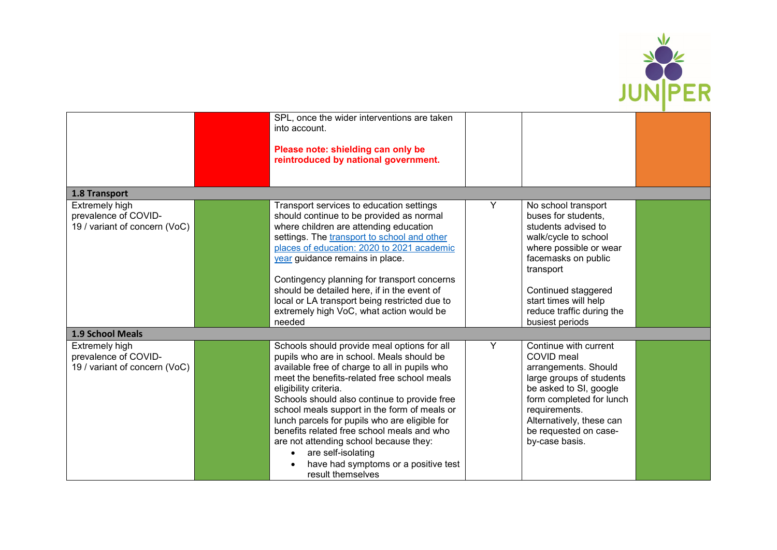

|                                                                         | SPL, once the wider interventions are taken<br>into account.<br>Please note: shielding can only be<br>reintroduced by national government.                                                                                                                                                                                                                                                                                                                                                                                                                 |   |                                                                                                                                                                                                                                                         |  |
|-------------------------------------------------------------------------|------------------------------------------------------------------------------------------------------------------------------------------------------------------------------------------------------------------------------------------------------------------------------------------------------------------------------------------------------------------------------------------------------------------------------------------------------------------------------------------------------------------------------------------------------------|---|---------------------------------------------------------------------------------------------------------------------------------------------------------------------------------------------------------------------------------------------------------|--|
| 1.8 Transport                                                           |                                                                                                                                                                                                                                                                                                                                                                                                                                                                                                                                                            |   |                                                                                                                                                                                                                                                         |  |
| Extremely high<br>prevalence of COVID-<br>19 / variant of concern (VoC) | Transport services to education settings<br>should continue to be provided as normal<br>where children are attending education<br>settings. The transport to school and other<br>places of education: 2020 to 2021 academic<br>year guidance remains in place.<br>Contingency planning for transport concerns<br>should be detailed here, if in the event of<br>local or LA transport being restricted due to<br>extremely high VoC, what action would be<br>needed                                                                                        | Y | No school transport<br>buses for students,<br>students advised to<br>walk/cycle to school<br>where possible or wear<br>facemasks on public<br>transport<br>Continued staggered<br>start times will help<br>reduce traffic during the<br>busiest periods |  |
| <b>1.9 School Meals</b>                                                 |                                                                                                                                                                                                                                                                                                                                                                                                                                                                                                                                                            |   |                                                                                                                                                                                                                                                         |  |
| Extremely high<br>prevalence of COVID-<br>19 / variant of concern (VoC) | Schools should provide meal options for all<br>pupils who are in school. Meals should be<br>available free of charge to all in pupils who<br>meet the benefits-related free school meals<br>eligibility criteria.<br>Schools should also continue to provide free<br>school meals support in the form of meals or<br>lunch parcels for pupils who are eligible for<br>benefits related free school meals and who<br>are not attending school because they:<br>are self-isolating<br>$\bullet$<br>have had symptoms or a positive test<br>result themselves | Y | Continue with current<br>COVID meal<br>arrangements. Should<br>large groups of students<br>be asked to SI, google<br>form completed for lunch<br>requirements.<br>Alternatively, these can<br>be requested on case-<br>by-case basis.                   |  |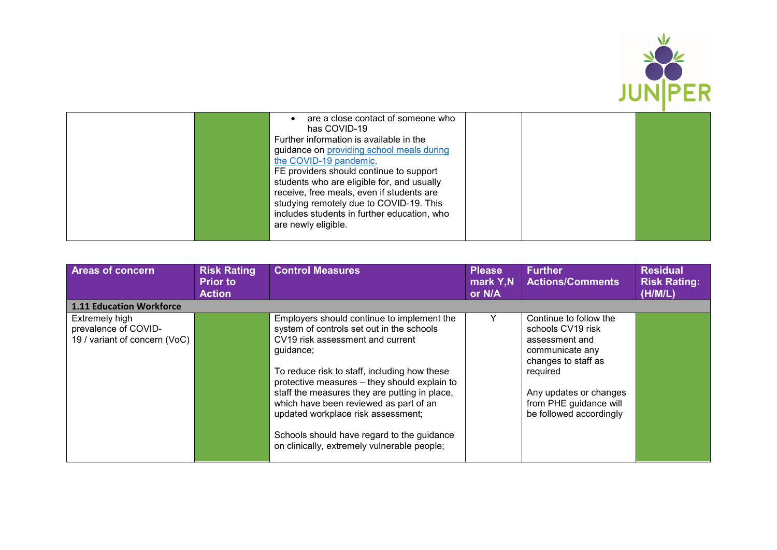

| are a close contact of someone who<br>has COVID-19<br>Further information is available in the<br>guidance on providing school meals during<br>the COVID-19 pandemic.<br>FE providers should continue to support<br>students who are eligible for, and usually<br>receive, free meals, even if students are<br>studying remotely due to COVID-19. This<br>includes students in further education, who<br>are newly eligible. |  |  |
|-----------------------------------------------------------------------------------------------------------------------------------------------------------------------------------------------------------------------------------------------------------------------------------------------------------------------------------------------------------------------------------------------------------------------------|--|--|
|                                                                                                                                                                                                                                                                                                                                                                                                                             |  |  |

| <b>Areas of concern</b>                                                 | <b>Risk Rating</b><br><b>Prior to</b><br><b>Action</b> | <b>Control Measures</b>                                                                                                                                                                                                                                                                                                                                                                                                                                                | <b>Please</b><br>mark Y,N<br>or N/A | <b>Further</b><br><b>Actions/Comments</b>                                                                                                                                                          | <b>Residual</b><br><b>Risk Rating:</b><br>(H/M/L) |
|-------------------------------------------------------------------------|--------------------------------------------------------|------------------------------------------------------------------------------------------------------------------------------------------------------------------------------------------------------------------------------------------------------------------------------------------------------------------------------------------------------------------------------------------------------------------------------------------------------------------------|-------------------------------------|----------------------------------------------------------------------------------------------------------------------------------------------------------------------------------------------------|---------------------------------------------------|
| <b>1.11 Education Workforce</b>                                         |                                                        |                                                                                                                                                                                                                                                                                                                                                                                                                                                                        |                                     |                                                                                                                                                                                                    |                                                   |
| Extremely high<br>prevalence of COVID-<br>19 / variant of concern (VoC) |                                                        | Employers should continue to implement the<br>system of controls set out in the schools<br>CV19 risk assessment and current<br>guidance;<br>To reduce risk to staff, including how these<br>protective measures - they should explain to<br>staff the measures they are putting in place,<br>which have been reviewed as part of an<br>updated workplace risk assessment;<br>Schools should have regard to the guidance<br>on clinically, extremely vulnerable people; | Υ                                   | Continue to follow the<br>schools CV19 risk<br>assessment and<br>communicate any<br>changes to staff as<br>required<br>Any updates or changes<br>from PHE guidance will<br>be followed accordingly |                                                   |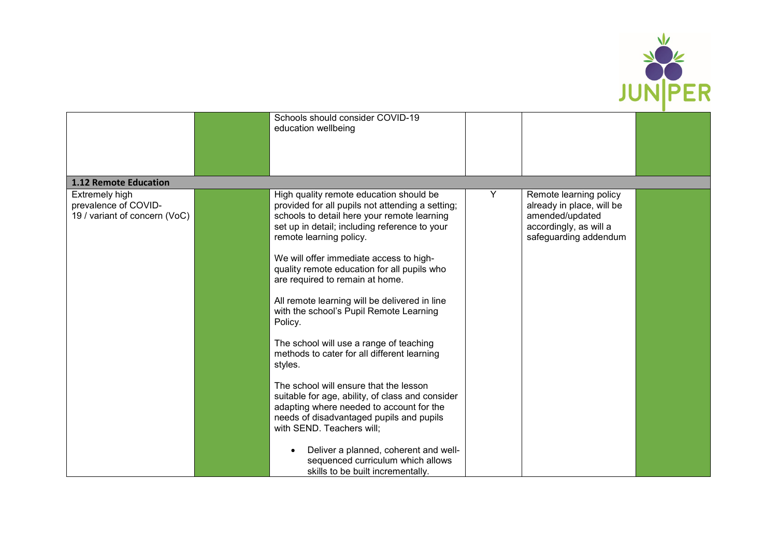

|                                                                         | Schools should consider COVID-19<br>education wellbeing                                                                                                                                                                                                                                                                                                                                                                                                                                                                                                                                                                                                                                                                                                                                                                                                                                               |   |                                                                                                                           |  |
|-------------------------------------------------------------------------|-------------------------------------------------------------------------------------------------------------------------------------------------------------------------------------------------------------------------------------------------------------------------------------------------------------------------------------------------------------------------------------------------------------------------------------------------------------------------------------------------------------------------------------------------------------------------------------------------------------------------------------------------------------------------------------------------------------------------------------------------------------------------------------------------------------------------------------------------------------------------------------------------------|---|---------------------------------------------------------------------------------------------------------------------------|--|
| 1.12 Remote Education                                                   |                                                                                                                                                                                                                                                                                                                                                                                                                                                                                                                                                                                                                                                                                                                                                                                                                                                                                                       |   |                                                                                                                           |  |
| Extremely high<br>prevalence of COVID-<br>19 / variant of concern (VoC) | High quality remote education should be<br>provided for all pupils not attending a setting;<br>schools to detail here your remote learning<br>set up in detail; including reference to your<br>remote learning policy.<br>We will offer immediate access to high-<br>quality remote education for all pupils who<br>are required to remain at home.<br>All remote learning will be delivered in line<br>with the school's Pupil Remote Learning<br>Policy.<br>The school will use a range of teaching<br>methods to cater for all different learning<br>styles.<br>The school will ensure that the lesson<br>suitable for age, ability, of class and consider<br>adapting where needed to account for the<br>needs of disadvantaged pupils and pupils<br>with SEND. Teachers will;<br>Deliver a planned, coherent and well-<br>sequenced curriculum which allows<br>skills to be built incrementally. | Y | Remote learning policy<br>already in place, will be<br>amended/updated<br>accordingly, as will a<br>safeguarding addendum |  |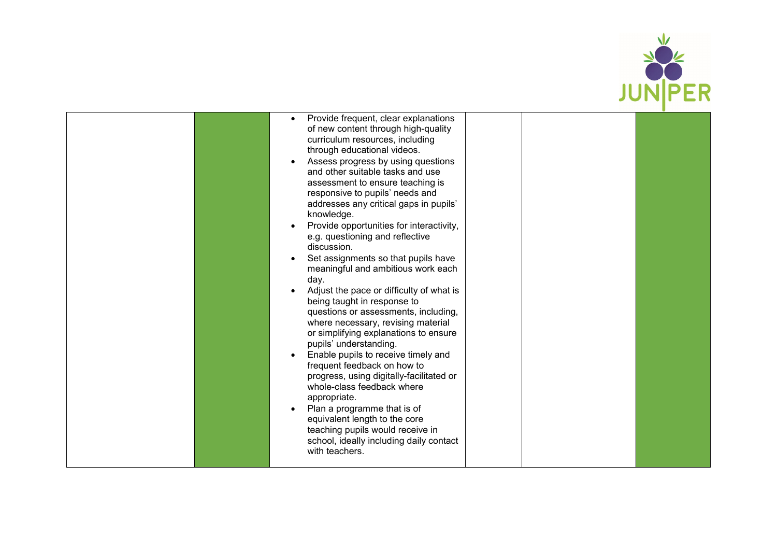

| Provide frequent, clear explanations<br>of new content through high-quality<br>curriculum resources, including<br>through educational videos.<br>Assess progress by using questions<br>and other suitable tasks and use<br>assessment to ensure teaching is<br>responsive to pupils' needs and<br>addresses any critical gaps in pupils'<br>knowledge.<br>Provide opportunities for interactivity,<br>e.g. questioning and reflective<br>discussion.<br>Set assignments so that pupils have<br>meaningful and ambitious work each<br>day.<br>Adjust the pace or difficulty of what is<br>being taught in response to<br>questions or assessments, including,<br>where necessary, revising material<br>or simplifying explanations to ensure<br>pupils' understanding.<br>Enable pupils to receive timely and<br>frequent feedback on how to<br>progress, using digitally-facilitated or<br>whole-class feedback where<br>appropriate.<br>Plan a programme that is of<br>equivalent length to the core<br>teaching pupils would receive in<br>school, ideally including daily contact<br>with teachers. |  |
|--------------------------------------------------------------------------------------------------------------------------------------------------------------------------------------------------------------------------------------------------------------------------------------------------------------------------------------------------------------------------------------------------------------------------------------------------------------------------------------------------------------------------------------------------------------------------------------------------------------------------------------------------------------------------------------------------------------------------------------------------------------------------------------------------------------------------------------------------------------------------------------------------------------------------------------------------------------------------------------------------------------------------------------------------------------------------------------------------------|--|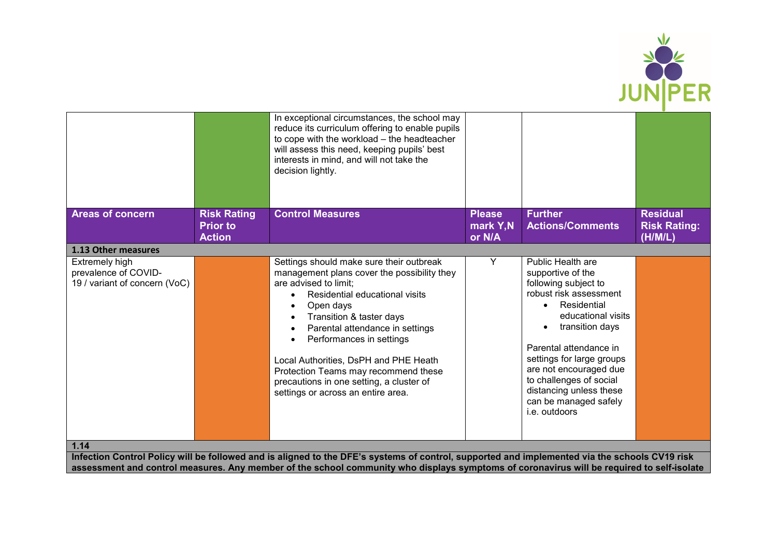

|                                                                                                                                                                                                                                                                                            |                                                        | In exceptional circumstances, the school may<br>reduce its curriculum offering to enable pupils<br>to cope with the workload - the headteacher<br>will assess this need, keeping pupils' best<br>interests in mind, and will not take the<br>decision lightly.                                                                                                                                                                |                                     |                                                                                                                                                                                                                                                                                                                                   |                                                   |
|--------------------------------------------------------------------------------------------------------------------------------------------------------------------------------------------------------------------------------------------------------------------------------------------|--------------------------------------------------------|-------------------------------------------------------------------------------------------------------------------------------------------------------------------------------------------------------------------------------------------------------------------------------------------------------------------------------------------------------------------------------------------------------------------------------|-------------------------------------|-----------------------------------------------------------------------------------------------------------------------------------------------------------------------------------------------------------------------------------------------------------------------------------------------------------------------------------|---------------------------------------------------|
| <b>Areas of concern</b>                                                                                                                                                                                                                                                                    | <b>Risk Rating</b><br><b>Prior to</b><br><b>Action</b> | <b>Control Measures</b>                                                                                                                                                                                                                                                                                                                                                                                                       | <b>Please</b><br>mark Y,N<br>or N/A | <b>Further</b><br><b>Actions/Comments</b>                                                                                                                                                                                                                                                                                         | <b>Residual</b><br><b>Risk Rating:</b><br>(H/M/L) |
| 1.13 Other measures                                                                                                                                                                                                                                                                        |                                                        |                                                                                                                                                                                                                                                                                                                                                                                                                               |                                     |                                                                                                                                                                                                                                                                                                                                   |                                                   |
| Extremely high<br>prevalence of COVID-<br>19 / variant of concern (VoC)                                                                                                                                                                                                                    |                                                        | Settings should make sure their outbreak<br>management plans cover the possibility they<br>are advised to limit;<br>Residential educational visits<br>Open days<br>Transition & taster days<br>Parental attendance in settings<br>Performances in settings<br>Local Authorities, DsPH and PHE Heath<br>Protection Teams may recommend these<br>precautions in one setting, a cluster of<br>settings or across an entire area. | Y                                   | Public Health are<br>supportive of the<br>following subject to<br>robust risk assessment<br>Residential<br>educational visits<br>transition days<br>Parental attendance in<br>settings for large groups<br>are not encouraged due<br>to challenges of social<br>distancing unless these<br>can be managed safely<br>i.e. outdoors |                                                   |
| 1.14                                                                                                                                                                                                                                                                                       |                                                        |                                                                                                                                                                                                                                                                                                                                                                                                                               |                                     |                                                                                                                                                                                                                                                                                                                                   |                                                   |
| Infection Control Policy will be followed and is aligned to the DFE's systems of control, supported and implemented via the schools CV19 risk<br>assessment and control measures. Any member of the school community who displays symptoms of coronavirus will be required to self-isolate |                                                        |                                                                                                                                                                                                                                                                                                                                                                                                                               |                                     |                                                                                                                                                                                                                                                                                                                                   |                                                   |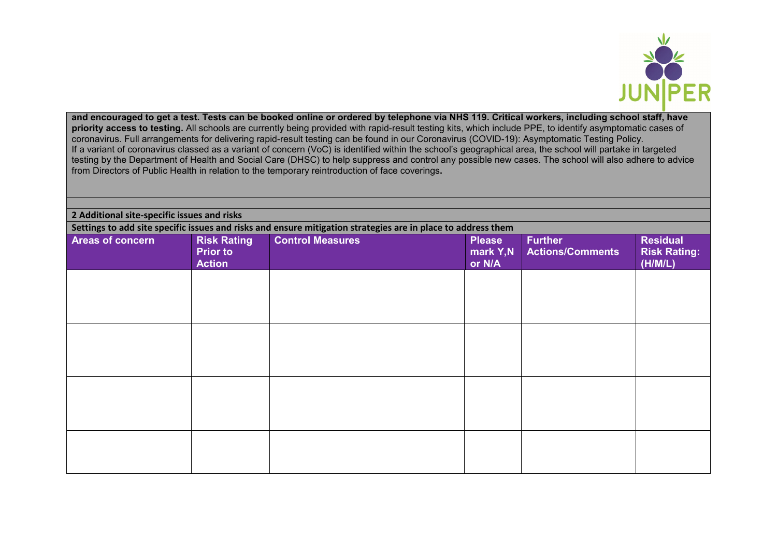

**and encouraged to get a test. Tests can be booked online or ordered by telephone via NHS 119. Critical workers, including school staff, have priority access to testing.** All schools are currently being provided with rapid-result testing kits, which include PPE, to identify asymptomatic cases of coronavirus. Full arrangements for delivering rapid-result testing can be found in our Coronavirus (COVID-19): Asymptomatic Testing Policy. If a variant of coronavirus classed as a variant of concern (VoC) is identified within the school's geographical area, the school will partake in targeted testing by the Department of Health and Social Care (DHSC) to help suppress and control any possible new cases. The school will also adhere to advice from Directors of Public Health in relation to the temporary reintroduction of face coverings**.**

**2 Additional site-specific issues and risks**

**Settings to add site specific issues and risks and ensure mitigation strategies are in place to address them**

| Areas of concern | <b>Risk Rating</b><br><b>Prior to</b><br><b>Action</b> | <b>Control Measures</b> | <b>Please</b><br>mark Y,N<br>or N/A | <b>Further</b><br><b>Actions/Comments</b> | <b>Residual</b><br><b>Risk Rating:</b><br>(H/M/L) |
|------------------|--------------------------------------------------------|-------------------------|-------------------------------------|-------------------------------------------|---------------------------------------------------|
|                  |                                                        |                         |                                     |                                           |                                                   |
|                  |                                                        |                         |                                     |                                           |                                                   |
|                  |                                                        |                         |                                     |                                           |                                                   |
|                  |                                                        |                         |                                     |                                           |                                                   |
|                  |                                                        |                         |                                     |                                           |                                                   |